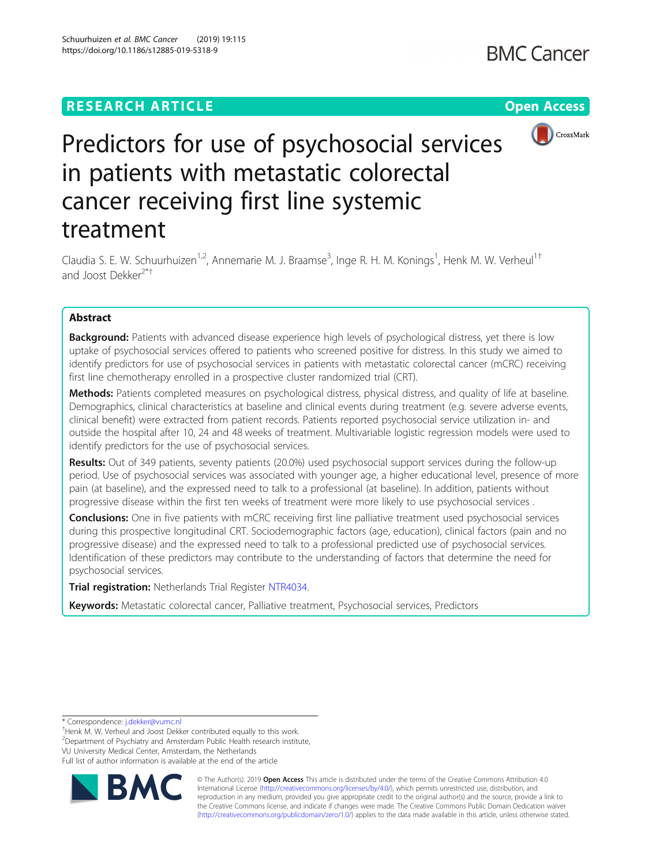## **RESEARCH ARTICLE Example 2014 12:30 The CONSTRUCTION CONSTRUCTION Open Access**



# Predictors for use of psychosocial services in patients with metastatic colorectal cancer receiving first line systemic treatment

Claudia S. E. W. Schuurhuizen<sup>1,2</sup>, Annemarie M. J. Braamse<sup>3</sup>, Inge R. H. M. Konings<sup>1</sup>, Henk M. W. Verheul<sup>1†</sup> and Joost Dekker2\*†

## Abstract

**Background:** Patients with advanced disease experience high levels of psychological distress, yet there is low uptake of psychosocial services offered to patients who screened positive for distress. In this study we aimed to identify predictors for use of psychosocial services in patients with metastatic colorectal cancer (mCRC) receiving first line chemotherapy enrolled in a prospective cluster randomized trial (CRT).

Methods: Patients completed measures on psychological distress, physical distress, and quality of life at baseline. Demographics, clinical characteristics at baseline and clinical events during treatment (e.g. severe adverse events, clinical benefit) were extracted from patient records. Patients reported psychosocial service utilization in- and outside the hospital after 10, 24 and 48 weeks of treatment. Multivariable logistic regression models were used to identify predictors for the use of psychosocial services.

Results: Out of 349 patients, seventy patients (20.0%) used psychosocial support services during the follow-up period. Use of psychosocial services was associated with younger age, a higher educational level, presence of more pain (at baseline), and the expressed need to talk to a professional (at baseline). In addition, patients without progressive disease within the first ten weeks of treatment were more likely to use psychosocial services .

Conclusions: One in five patients with mCRC receiving first line palliative treatment used psychosocial services during this prospective longitudinal CRT. Sociodemographic factors (age, education), clinical factors (pain and no progressive disease) and the expressed need to talk to a professional predicted use of psychosocial services. Identification of these predictors may contribute to the understanding of factors that determine the need for psychosocial services.

**Trial registration: Netherlands Trial Register [NTR4034.](http://www.trialregister.nl/trialreg/admin/rctview.asp?TC=4034)** 

Keywords: Metastatic colorectal cancer, Palliative treatment, Psychosocial services, Predictors

\* Correspondence: [j.dekker@vumc.nl](mailto:j.dekker@vumc.nl) †

<sup>+</sup>Henk M. W. Verheul and Joost Dekker contributed equally to this work. <sup>2</sup>Department of Psychiatry and Amsterdam Public Health research institute, VU University Medical Center, Amsterdam, the Netherlands Full list of author information is available at the end of the article



© The Author(s). 2019 **Open Access** This article is distributed under the terms of the Creative Commons Attribution 4.0 International License [\(http://creativecommons.org/licenses/by/4.0/](http://creativecommons.org/licenses/by/4.0/)), which permits unrestricted use, distribution, and reproduction in any medium, provided you give appropriate credit to the original author(s) and the source, provide a link to the Creative Commons license, and indicate if changes were made. The Creative Commons Public Domain Dedication waiver [\(http://creativecommons.org/publicdomain/zero/1.0/](http://creativecommons.org/publicdomain/zero/1.0/)) applies to the data made available in this article, unless otherwise stated.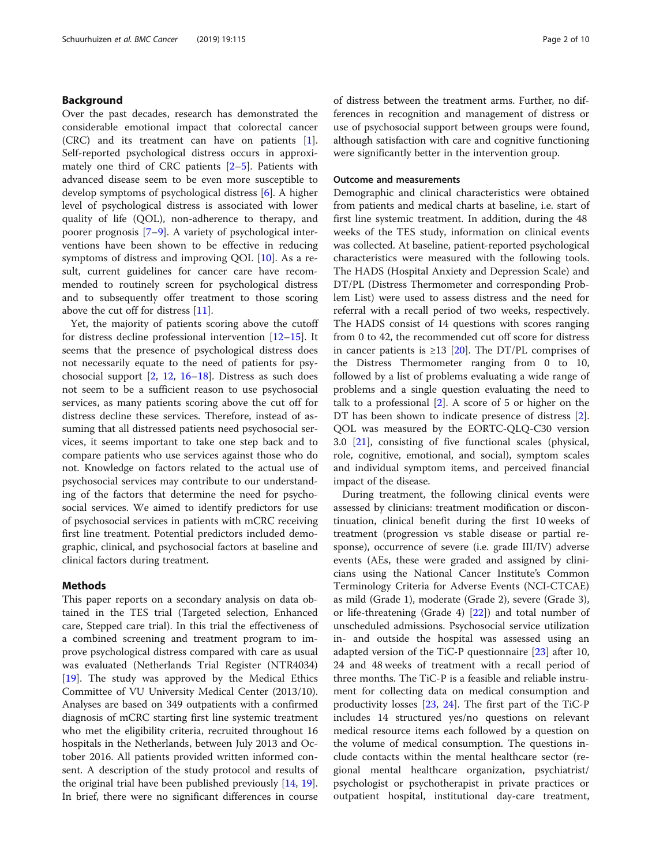## Background

Over the past decades, research has demonstrated the considerable emotional impact that colorectal cancer  $(CRC)$  and its treatment can have on patients [\[1](#page-8-0)]. Self-reported psychological distress occurs in approximately one third of CRC patients  $[2-5]$  $[2-5]$  $[2-5]$  $[2-5]$  $[2-5]$ . Patients with advanced disease seem to be even more susceptible to develop symptoms of psychological distress [\[6](#page-8-0)]. A higher level of psychological distress is associated with lower quality of life (QOL), non-adherence to therapy, and poorer prognosis [\[7](#page-8-0)–[9](#page-8-0)]. A variety of psychological interventions have been shown to be effective in reducing symptoms of distress and improving QOL  $[10]$  $[10]$ . As a result, current guidelines for cancer care have recommended to routinely screen for psychological distress and to subsequently offer treatment to those scoring above the cut off for distress [[11\]](#page-8-0).

Yet, the majority of patients scoring above the cutoff for distress decline professional intervention [\[12](#page-8-0)–[15\]](#page-8-0). It seems that the presence of psychological distress does not necessarily equate to the need of patients for psychosocial support [\[2](#page-8-0), [12,](#page-8-0) [16](#page-8-0)–[18](#page-8-0)]. Distress as such does not seem to be a sufficient reason to use psychosocial services, as many patients scoring above the cut off for distress decline these services. Therefore, instead of assuming that all distressed patients need psychosocial services, it seems important to take one step back and to compare patients who use services against those who do not. Knowledge on factors related to the actual use of psychosocial services may contribute to our understanding of the factors that determine the need for psychosocial services. We aimed to identify predictors for use of psychosocial services in patients with mCRC receiving first line treatment. Potential predictors included demographic, clinical, and psychosocial factors at baseline and clinical factors during treatment.

## Methods

This paper reports on a secondary analysis on data obtained in the TES trial (Targeted selection, Enhanced care, Stepped care trial). In this trial the effectiveness of a combined screening and treatment program to improve psychological distress compared with care as usual was evaluated (Netherlands Trial Register (NTR4034) [[19\]](#page-8-0). The study was approved by the Medical Ethics Committee of VU University Medical Center (2013/10). Analyses are based on 349 outpatients with a confirmed diagnosis of mCRC starting first line systemic treatment who met the eligibility criteria, recruited throughout 16 hospitals in the Netherlands, between July 2013 and October 2016. All patients provided written informed consent. A description of the study protocol and results of the original trial have been published previously [\[14](#page-8-0), [19](#page-8-0)]. In brief, there were no significant differences in course

of distress between the treatment arms. Further, no differences in recognition and management of distress or use of psychosocial support between groups were found, although satisfaction with care and cognitive functioning were significantly better in the intervention group.

#### Outcome and measurements

Demographic and clinical characteristics were obtained from patients and medical charts at baseline, i.e. start of first line systemic treatment. In addition, during the 48 weeks of the TES study, information on clinical events was collected. At baseline, patient-reported psychological characteristics were measured with the following tools. The HADS (Hospital Anxiety and Depression Scale) and DT/PL (Distress Thermometer and corresponding Problem List) were used to assess distress and the need for referral with a recall period of two weeks, respectively. The HADS consist of 14 questions with scores ranging from 0 to 42, the recommended cut off score for distress in cancer patients is  $\geq$ 13 [[20\]](#page-8-0). The DT/PL comprises of the Distress Thermometer ranging from 0 to 10, followed by a list of problems evaluating a wide range of problems and a single question evaluating the need to talk to a professional  $[2]$  $[2]$ . A score of 5 or higher on the DT has been shown to indicate presence of distress [\[2](#page-8-0)]. QOL was measured by the EORTC-QLQ-C30 version 3.0 [\[21](#page-8-0)], consisting of five functional scales (physical, role, cognitive, emotional, and social), symptom scales and individual symptom items, and perceived financial impact of the disease.

During treatment, the following clinical events were assessed by clinicians: treatment modification or discontinuation, clinical benefit during the first 10 weeks of treatment (progression vs stable disease or partial response), occurrence of severe (i.e. grade III/IV) adverse events (AEs, these were graded and assigned by clinicians using the National Cancer Institute's Common Terminology Criteria for Adverse Events (NCI-CTCAE) as mild (Grade 1), moderate (Grade 2), severe (Grade 3), or life-threatening (Grade 4) [\[22\]](#page-8-0)) and total number of unscheduled admissions. Psychosocial service utilization in- and outside the hospital was assessed using an adapted version of the TiC-P questionnaire [[23\]](#page-8-0) after 10, 24 and 48 weeks of treatment with a recall period of three months. The TiC-P is a feasible and reliable instrument for collecting data on medical consumption and productivity losses [[23,](#page-8-0) [24\]](#page-8-0). The first part of the TiC-P includes 14 structured yes/no questions on relevant medical resource items each followed by a question on the volume of medical consumption. The questions include contacts within the mental healthcare sector (regional mental healthcare organization, psychiatrist/ psychologist or psychotherapist in private practices or outpatient hospital, institutional day-care treatment,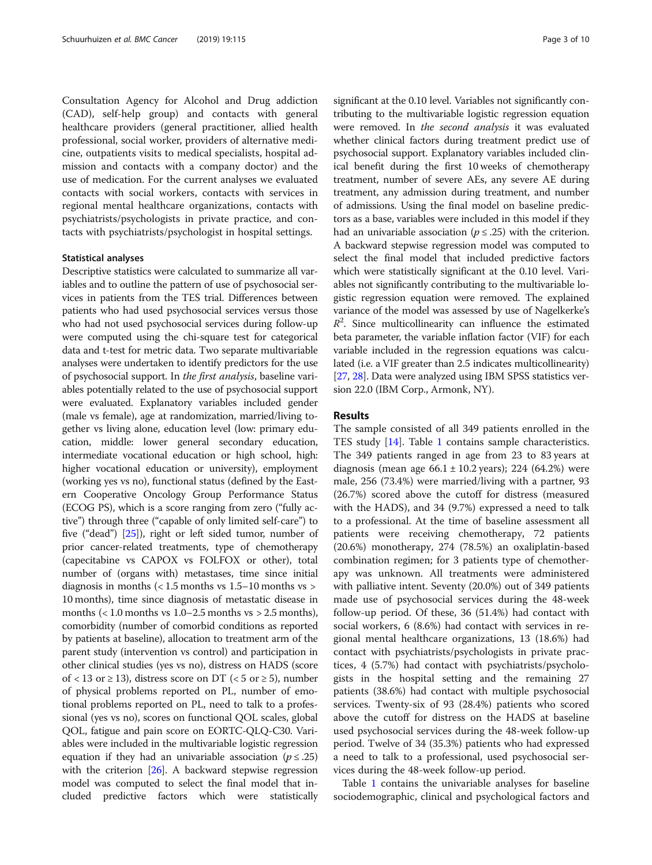Consultation Agency for Alcohol and Drug addiction (CAD), self-help group) and contacts with general healthcare providers (general practitioner, allied health professional, social worker, providers of alternative medicine, outpatients visits to medical specialists, hospital admission and contacts with a company doctor) and the use of medication. For the current analyses we evaluated contacts with social workers, contacts with services in regional mental healthcare organizations, contacts with psychiatrists/psychologists in private practice, and contacts with psychiatrists/psychologist in hospital settings.

#### Statistical analyses

Descriptive statistics were calculated to summarize all variables and to outline the pattern of use of psychosocial services in patients from the TES trial. Differences between patients who had used psychosocial services versus those who had not used psychosocial services during follow-up were computed using the chi-square test for categorical data and t-test for metric data. Two separate multivariable analyses were undertaken to identify predictors for the use of psychosocial support. In the first analysis, baseline variables potentially related to the use of psychosocial support were evaluated. Explanatory variables included gender (male vs female), age at randomization, married/living together vs living alone, education level (low: primary education, middle: lower general secondary education, intermediate vocational education or high school, high: higher vocational education or university), employment (working yes vs no), functional status (defined by the Eastern Cooperative Oncology Group Performance Status (ECOG PS), which is a score ranging from zero ("fully active") through three ("capable of only limited self-care") to five ("dead") [[25](#page-8-0)]), right or left sided tumor, number of prior cancer-related treatments, type of chemotherapy (capecitabine vs CAPOX vs FOLFOX or other), total number of (organs with) metastases, time since initial diagnosis in months  $\left($  < 1.5 months vs 1.5–10 months vs > 10 months), time since diagnosis of metastatic disease in months  $\left($  < 1.0 months vs 1.0–2.5 months vs > 2.5 months), comorbidity (number of comorbid conditions as reported by patients at baseline), allocation to treatment arm of the parent study (intervention vs control) and participation in other clinical studies (yes vs no), distress on HADS (score of < 13 or  $\geq$  13), distress score on DT (< 5 or  $\geq$  5), number of physical problems reported on PL, number of emotional problems reported on PL, need to talk to a professional (yes vs no), scores on functional QOL scales, global QOL, fatigue and pain score on EORTC-QLQ-C30. Variables were included in the multivariable logistic regression equation if they had an univariable association ( $p \le 0.25$ ) with the criterion [\[26\]](#page-8-0). A backward stepwise regression model was computed to select the final model that included predictive factors which were statistically

significant at the 0.10 level. Variables not significantly contributing to the multivariable logistic regression equation were removed. In the second analysis it was evaluated whether clinical factors during treatment predict use of psychosocial support. Explanatory variables included clinical benefit during the first 10 weeks of chemotherapy treatment, number of severe AEs, any severe AE during treatment, any admission during treatment, and number of admissions. Using the final model on baseline predictors as a base, variables were included in this model if they had an univariable association ( $p \le 0.25$ ) with the criterion. A backward stepwise regression model was computed to select the final model that included predictive factors which were statistically significant at the 0.10 level. Variables not significantly contributing to the multivariable logistic regression equation were removed. The explained variance of the model was assessed by use of Nagelkerke's  $R<sup>2</sup>$ . Since multicollinearity can influence the estimated beta parameter, the variable inflation factor (VIF) for each variable included in the regression equations was calculated (i.e. a VIF greater than 2.5 indicates multicollinearity) [[27](#page-8-0), [28\]](#page-8-0). Data were analyzed using IBM SPSS statistics version 22.0 (IBM Corp., Armonk, NY).

#### Results

The sample consisted of all 349 patients enrolled in the TES study [[14](#page-8-0)]. Table [1](#page-3-0) contains sample characteristics. The 349 patients ranged in age from 23 to 83 years at diagnosis (mean age  $66.1 \pm 10.2$  years); 224  $(64.2%)$  were male, 256 (73.4%) were married/living with a partner, 93 (26.7%) scored above the cutoff for distress (measured with the HADS), and 34 (9.7%) expressed a need to talk to a professional. At the time of baseline assessment all patients were receiving chemotherapy, 72 patients (20.6%) monotherapy, 274 (78.5%) an oxaliplatin-based combination regimen; for 3 patients type of chemotherapy was unknown. All treatments were administered with palliative intent. Seventy (20.0%) out of 349 patients made use of psychosocial services during the 48-week follow-up period. Of these, 36 (51.4%) had contact with social workers, 6 (8.6%) had contact with services in regional mental healthcare organizations, 13 (18.6%) had contact with psychiatrists/psychologists in private practices, 4 (5.7%) had contact with psychiatrists/psychologists in the hospital setting and the remaining 27 patients (38.6%) had contact with multiple psychosocial services. Twenty-six of 93 (28.4%) patients who scored above the cutoff for distress on the HADS at baseline used psychosocial services during the 48-week follow-up period. Twelve of 34 (35.3%) patients who had expressed a need to talk to a professional, used psychosocial services during the 48-week follow-up period.

Table [1](#page-3-0) contains the univariable analyses for baseline sociodemographic, clinical and psychological factors and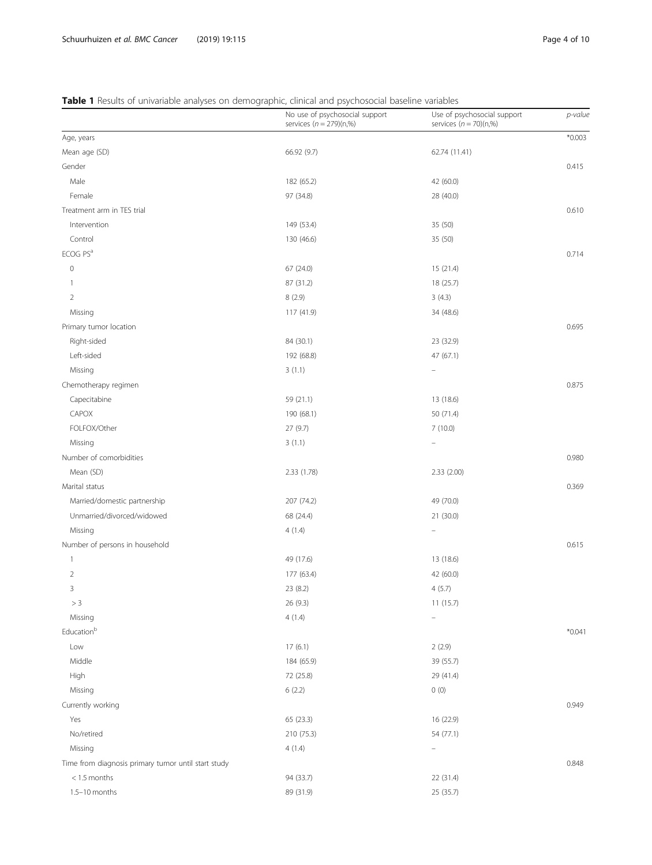## <span id="page-3-0"></span>Table 1 Results of univariable analyses on demographic, clinical and psychosocial baseline variables

|                                                     | No use of psychosocial support<br>services $(n = 279)(n,%)$ | Use of psychosocial support<br>services $(n = 70)(n,%)$ | p-value  |
|-----------------------------------------------------|-------------------------------------------------------------|---------------------------------------------------------|----------|
| Age, years                                          |                                                             |                                                         | $*0.003$ |
| Mean age (SD)                                       | 66.92 (9.7)                                                 | 62.74 (11.41)                                           |          |
| Gender                                              |                                                             |                                                         | 0.415    |
| Male                                                | 182 (65.2)                                                  | 42 (60.0)                                               |          |
| Female                                              | 97 (34.8)                                                   | 28 (40.0)                                               |          |
| Treatment arm in TES trial                          |                                                             |                                                         | 0.610    |
| Intervention                                        | 149 (53.4)                                                  | 35 (50)                                                 |          |
| Control                                             | 130 (46.6)                                                  | 35 (50)                                                 |          |
| ECOG PS <sup>a</sup>                                |                                                             |                                                         | 0.714    |
| $\mathbf 0$                                         | 67 (24.0)                                                   | 15 (21.4)                                               |          |
| $\overline{\phantom{a}}$                            | 87 (31.2)                                                   | 18 (25.7)                                               |          |
| $\overline{2}$                                      | 8(2.9)                                                      | 3(4.3)                                                  |          |
| Missing                                             | 117 (41.9)                                                  | 34 (48.6)                                               |          |
| Primary tumor location                              |                                                             |                                                         | 0.695    |
| Right-sided                                         | 84 (30.1)                                                   | 23 (32.9)                                               |          |
| Left-sided                                          | 192 (68.8)                                                  | 47 (67.1)                                               |          |
| Missing                                             | 3(1.1)                                                      | $\qquad \qquad -$                                       |          |
| Chemotherapy regimen                                |                                                             |                                                         | 0.875    |
| Capecitabine                                        | 59 (21.1)                                                   | 13 (18.6)                                               |          |
| <b>CAPOX</b>                                        | 190 (68.1)                                                  | 50 (71.4)                                               |          |
| FOLFOX/Other                                        | 27 (9.7)                                                    | 7(10.0)                                                 |          |
| Missing                                             | 3(1.1)                                                      |                                                         |          |
| Number of comorbidities                             |                                                             |                                                         | 0.980    |
| Mean (SD)                                           | 2.33 (1.78)                                                 | 2.33(2.00)                                              |          |
| Marital status                                      |                                                             |                                                         | 0.369    |
| Married/domestic partnership                        | 207 (74.2)                                                  | 49 (70.0)                                               |          |
| Unmarried/divorced/widowed                          | 68 (24.4)                                                   | 21 (30.0)                                               |          |
| Missing                                             | 4(1.4)                                                      | $\qquad \qquad -$                                       |          |
| Number of persons in household                      |                                                             |                                                         | 0.615    |
| $\overline{\phantom{a}}$                            | 49 (17.6)                                                   | 13 (18.6)                                               |          |
| $\overline{2}$                                      | 177 (63.4)                                                  | 42 (60.0)                                               |          |
| 3                                                   | 23 (8.2)                                                    | 4(5.7)                                                  |          |
| $> 3\,$                                             | 26 (9.3)                                                    | 11(15.7)                                                |          |
| Missing                                             | 4(1.4)                                                      | $\overline{\phantom{0}}$                                |          |
| Educationb                                          |                                                             |                                                         | $*0.041$ |
| Low                                                 | 17(6.1)                                                     | 2(2.9)                                                  |          |
| Middle                                              | 184 (65.9)                                                  | 39 (55.7)                                               |          |
| High                                                | 72 (25.8)                                                   | 29 (41.4)                                               |          |
| Missing                                             | 6(2.2)                                                      | 0(0)                                                    |          |
| Currently working                                   |                                                             |                                                         | 0.949    |
| Yes                                                 | 65 (23.3)                                                   | 16 (22.9)                                               |          |
| No/retired                                          | 210 (75.3)                                                  | 54 (77.1)                                               |          |
| Missing                                             | 4(1.4)                                                      | $\overline{\phantom{a}}$                                |          |
| Time from diagnosis primary tumor until start study |                                                             |                                                         | 0.848    |
| $<$ 1.5 months                                      | 94 (33.7)                                                   | 22 (31.4)                                               |          |
| 1.5-10 months                                       | 89 (31.9)                                                   | 25 (35.7)                                               |          |
|                                                     |                                                             |                                                         |          |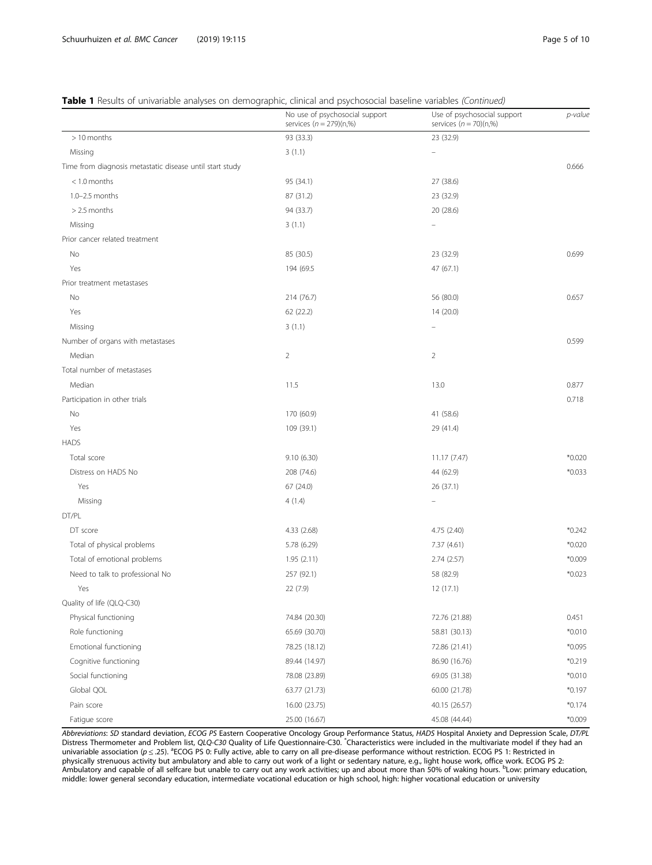## Table 1 Results of univariable analyses on demographic, clinical and psychosocial baseline variables (Continued)

|                                                          | No use of psychosocial support<br>services $(n = 279)(n,%)$ | Use of psychosocial support<br>services $(n = 70)(n,%)$ | p-value  |
|----------------------------------------------------------|-------------------------------------------------------------|---------------------------------------------------------|----------|
| > 10 months                                              | 93 (33.3)                                                   | 23 (32.9)                                               |          |
| Missing                                                  | 3(1.1)                                                      | $\qquad \qquad -$                                       |          |
| Time from diagnosis metastatic disease until start study |                                                             |                                                         | 0.666    |
| $< 1.0$ months                                           | 95 (34.1)                                                   | 27 (38.6)                                               |          |
| $1.0 - 2.5$ months                                       | 87 (31.2)                                                   | 23 (32.9)                                               |          |
| $> 2.5$ months                                           | 94 (33.7)                                                   | 20 (28.6)                                               |          |
| Missing                                                  | 3(1.1)                                                      | ۰                                                       |          |
| Prior cancer related treatment                           |                                                             |                                                         |          |
| No                                                       | 85 (30.5)                                                   | 23 (32.9)                                               | 0.699    |
| Yes                                                      | 194 (69.5                                                   | 47 (67.1)                                               |          |
| Prior treatment metastases                               |                                                             |                                                         |          |
| No                                                       | 214 (76.7)                                                  | 56 (80.0)                                               | 0.657    |
| Yes                                                      | 62(22.2)                                                    | 14(20.0)                                                |          |
| Missing                                                  | 3(1.1)                                                      |                                                         |          |
| Number of organs with metastases                         |                                                             |                                                         | 0.599    |
| Median                                                   | $\overline{2}$                                              | $\overline{2}$                                          |          |
| Total number of metastases                               |                                                             |                                                         |          |
| Median                                                   | 11.5                                                        | 13.0                                                    | 0.877    |
| Participation in other trials                            |                                                             |                                                         | 0.718    |
| No                                                       | 170 (60.9)                                                  | 41 (58.6)                                               |          |
| Yes                                                      | 109 (39.1)                                                  | 29 (41.4)                                               |          |
| <b>HADS</b>                                              |                                                             |                                                         |          |
| Total score                                              | 9.10(6.30)                                                  | 11.17 (7.47)                                            | $*0.020$ |
| Distress on HADS No                                      | 208 (74.6)                                                  | 44 (62.9)                                               | $*0.033$ |
| Yes                                                      | 67 (24.0)                                                   | 26 (37.1)                                               |          |
| Missing                                                  | 4(1.4)                                                      | $\overline{a}$                                          |          |
| DT/PL                                                    |                                                             |                                                         |          |
| DT score                                                 | 4.33(2.68)                                                  | 4.75 (2.40)                                             | $*0.242$ |
| Total of physical problems                               | 5.78 (6.29)                                                 | 7.37 (4.61)                                             | $*0.020$ |
| Total of emotional problems                              | 1.95(2.11)                                                  | 2.74(2.57)                                              | $*0.009$ |
| Need to talk to professional No                          | 257 (92.1)                                                  | 58 (82.9)                                               | $*0.023$ |
| Yes                                                      | 22 (7.9)                                                    | 12(17.1)                                                |          |
| Quality of life (QLQ-C30)                                |                                                             |                                                         |          |
| Physical functioning                                     | 74.84 (20.30)                                               | 72.76 (21.88)                                           | 0.451    |
| Role functioning                                         | 65.69 (30.70)                                               | 58.81 (30.13)                                           | $*0.010$ |
| Emotional functioning                                    | 78.25 (18.12)                                               | 72.86 (21.41)                                           | $*0.095$ |
| Cognitive functioning                                    | 89.44 (14.97)                                               | 86.90 (16.76)                                           | $*0.219$ |
| Social functioning                                       | 78.08 (23.89)                                               | 69.05 (31.38)                                           | $*0.010$ |
| Global QOL                                               | 63.77 (21.73)                                               | 60.00 (21.78)                                           | $*0.197$ |
| Pain score                                               | 16.00 (23.75)                                               | 40.15 (26.57)                                           | $*0.174$ |
| Fatigue score                                            | 25.00 (16.67)                                               | 45.08 (44.44)                                           | $*0.009$ |

Abbreviations: SD standard deviation, ECOG PS Eastern Cooperative Oncology Group Performance Status, HADS Hospital Anxiety and Depression Scale, DT/PL<br>Distress Thermometer and Problem list, QLQ-C30 Quality of Life Question univariable association (p ≤ .25). <sup>a</sup>ECOG PS 0: Fully active, able to carry on all pre-disease performance without restriction. ECOG PS 1: Restricted in physically strenuous activity but ambulatory and able to carry out work of a light or sedentary nature, e.g., light house work, office work. ECOG PS 2: Ambulatory and capable of all selfcare but unable to carry out any work activities; up and about more than 50% of waking hours. <sup>b</sup>Low: primary education, middle: lower general secondary education, intermediate vocational education or high school, high: higher vocational education or university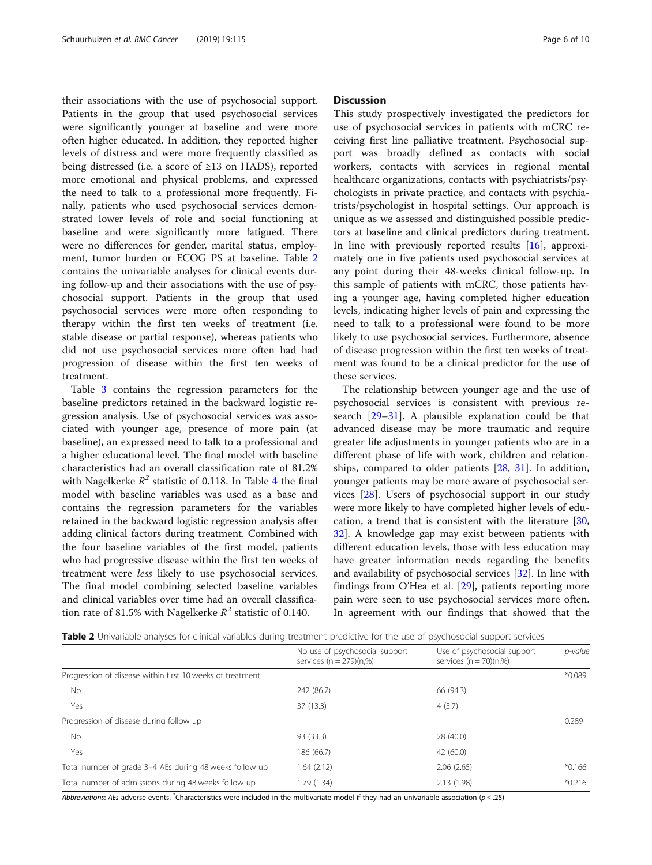their associations with the use of psychosocial support. Patients in the group that used psychosocial services were significantly younger at baseline and were more often higher educated. In addition, they reported higher levels of distress and were more frequently classified as being distressed (i.e. a score of ≥13 on HADS), reported more emotional and physical problems, and expressed the need to talk to a professional more frequently. Finally, patients who used psychosocial services demonstrated lower levels of role and social functioning at baseline and were significantly more fatigued. There were no differences for gender, marital status, employment, tumor burden or ECOG PS at baseline. Table 2 contains the univariable analyses for clinical events during follow-up and their associations with the use of psychosocial support. Patients in the group that used psychosocial services were more often responding to therapy within the first ten weeks of treatment (i.e. stable disease or partial response), whereas patients who did not use psychosocial services more often had had progression of disease within the first ten weeks of treatment.

Table [3](#page-6-0) contains the regression parameters for the baseline predictors retained in the backward logistic regression analysis. Use of psychosocial services was associated with younger age, presence of more pain (at baseline), an expressed need to talk to a professional and a higher educational level. The final model with baseline characteristics had an overall classification rate of 81.2% with Nagelkerke  $R^2$  statistic of 0.118. In Table [4](#page-6-0) the final model with baseline variables was used as a base and contains the regression parameters for the variables retained in the backward logistic regression analysis after adding clinical factors during treatment. Combined with the four baseline variables of the first model, patients who had progressive disease within the first ten weeks of treatment were less likely to use psychosocial services. The final model combining selected baseline variables and clinical variables over time had an overall classification rate of 81.5% with Nagelkerke  $R^2$  statistic of 0.140.

### **Discussion**

This study prospectively investigated the predictors for use of psychosocial services in patients with mCRC receiving first line palliative treatment. Psychosocial support was broadly defined as contacts with social workers, contacts with services in regional mental healthcare organizations, contacts with psychiatrists/psychologists in private practice, and contacts with psychiatrists/psychologist in hospital settings. Our approach is unique as we assessed and distinguished possible predictors at baseline and clinical predictors during treatment. In line with previously reported results [[16\]](#page-8-0), approximately one in five patients used psychosocial services at any point during their 48-weeks clinical follow-up. In this sample of patients with mCRC, those patients having a younger age, having completed higher education levels, indicating higher levels of pain and expressing the need to talk to a professional were found to be more likely to use psychosocial services. Furthermore, absence of disease progression within the first ten weeks of treatment was found to be a clinical predictor for the use of these services.

The relationship between younger age and the use of psychosocial services is consistent with previous research [[29](#page-8-0)–[31](#page-8-0)]. A plausible explanation could be that advanced disease may be more traumatic and require greater life adjustments in younger patients who are in a different phase of life with work, children and relationships, compared to older patients [\[28](#page-8-0), [31](#page-8-0)]. In addition, younger patients may be more aware of psychosocial services [\[28](#page-8-0)]. Users of psychosocial support in our study were more likely to have completed higher levels of education, a trend that is consistent with the literature [[30](#page-8-0), [32\]](#page-8-0). A knowledge gap may exist between patients with different education levels, those with less education may have greater information needs regarding the benefits and availability of psychosocial services [\[32](#page-8-0)]. In line with findings from O'Hea et al. [\[29\]](#page-8-0), patients reporting more pain were seen to use psychosocial services more often. In agreement with our findings that showed that the

|                                                           | No use of psychosocial support<br>services ( $n = 279$ )( $n$ ,%) | Use of psychosocial support<br>services $(n = 70)(n,\%)$ | p-value  |
|-----------------------------------------------------------|-------------------------------------------------------------------|----------------------------------------------------------|----------|
| Progression of disease within first 10 weeks of treatment |                                                                   |                                                          | *0.089   |
| No.                                                       | 242 (86.7)                                                        | 66 (94.3)                                                |          |
| Yes                                                       | 37 (13.3)                                                         | 4(5.7)                                                   |          |
| Progression of disease during follow up                   |                                                                   |                                                          | 0.289    |
| No.                                                       | 93 (33.3)                                                         | 28 (40.0)                                                |          |
| Yes                                                       | 186 (66.7)                                                        | 42 (60.0)                                                |          |
| Total number of grade 3-4 AEs during 48 weeks follow up   | 1.64(2.12)                                                        | 2.06(2.65)                                               | $*0.166$ |
| Total number of admissions during 48 weeks follow up      | 1.79 (1.34)                                                       | 2.13 (1.98)                                              | $*0.216$ |

Abbreviations: AEs adverse events. <sup>\*</sup>Characteristics were included in the multivariate model if they had an univariable association ( $p \le 25$ )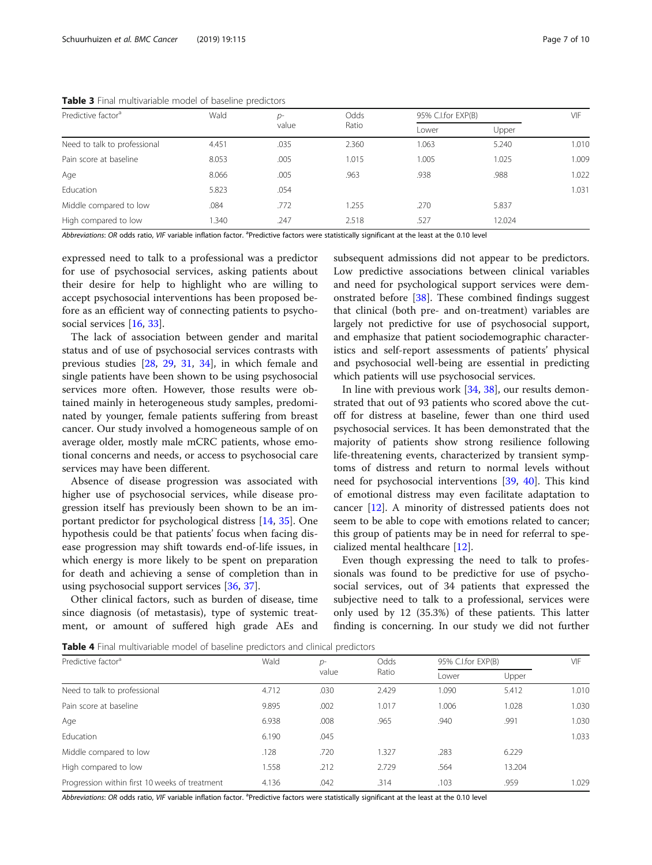| Predictive factor <sup>a</sup> | Wald  | $D-$  | Odds  | 95% C.I.for EXP(B) |        | VIF   |
|--------------------------------|-------|-------|-------|--------------------|--------|-------|
|                                |       | value | Ratio | Lower              | Upper  |       |
| Need to talk to professional   | 4.451 | .035  | 2.360 | 1.063              | 5.240  | 1.010 |
| Pain score at baseline         | 8.053 | .005  | .015  | 1.005              | 1.025  | 1.009 |
| Age                            | 8.066 | .005  | .963  | .938               | .988   | 1.022 |
| Education                      | 5.823 | .054  |       |                    |        | 1.031 |
| Middle compared to low         | .084  | .772  | .255  | .270               | 5.837  |       |
| High compared to low           | .340  | .247  | 2.518 | .527               | 12.024 |       |

<span id="page-6-0"></span>Table 3 Final multivariable model of baseline predictors

Abbreviations: OR odds ratio, VIF variable inflation factor. <sup>a</sup>Predictive factors were statistically significant at the least at the 0.10 level

expressed need to talk to a professional was a predictor for use of psychosocial services, asking patients about their desire for help to highlight who are willing to accept psychosocial interventions has been proposed before as an efficient way of connecting patients to psycho-social services [\[16](#page-8-0), [33](#page-9-0)].

The lack of association between gender and marital status and of use of psychosocial services contrasts with previous studies [\[28](#page-8-0), [29,](#page-8-0) [31](#page-8-0), [34](#page-9-0)], in which female and single patients have been shown to be using psychosocial services more often. However, those results were obtained mainly in heterogeneous study samples, predominated by younger, female patients suffering from breast cancer. Our study involved a homogeneous sample of on average older, mostly male mCRC patients, whose emotional concerns and needs, or access to psychosocial care services may have been different.

Absence of disease progression was associated with higher use of psychosocial services, while disease progression itself has previously been shown to be an important predictor for psychological distress [[14,](#page-8-0) [35\]](#page-9-0). One hypothesis could be that patients' focus when facing disease progression may shift towards end-of-life issues, in which energy is more likely to be spent on preparation for death and achieving a sense of completion than in using psychosocial support services [[36,](#page-9-0) [37\]](#page-9-0).

Other clinical factors, such as burden of disease, time since diagnosis (of metastasis), type of systemic treatment, or amount of suffered high grade AEs and

subsequent admissions did not appear to be predictors. Low predictive associations between clinical variables and need for psychological support services were demonstrated before [[38\]](#page-9-0). These combined findings suggest that clinical (both pre- and on-treatment) variables are largely not predictive for use of psychosocial support, and emphasize that patient sociodemographic characteristics and self-report assessments of patients' physical and psychosocial well-being are essential in predicting which patients will use psychosocial services.

In line with previous work [\[34,](#page-9-0) [38\]](#page-9-0), our results demonstrated that out of 93 patients who scored above the cutoff for distress at baseline, fewer than one third used psychosocial services. It has been demonstrated that the majority of patients show strong resilience following life-threatening events, characterized by transient symptoms of distress and return to normal levels without need for psychosocial interventions [[39,](#page-9-0) [40](#page-9-0)]. This kind of emotional distress may even facilitate adaptation to cancer [[12\]](#page-8-0). A minority of distressed patients does not seem to be able to cope with emotions related to cancer; this group of patients may be in need for referral to specialized mental healthcare [\[12](#page-8-0)].

Even though expressing the need to talk to professionals was found to be predictive for use of psychosocial services, out of 34 patients that expressed the subjective need to talk to a professional, services were only used by 12 (35.3%) of these patients. This latter finding is concerning. In our study we did not further

Table 4 Final multivariable model of baseline predictors and clinical predictors

| Predictive factor <sup>a</sup>                 | Wald  | $D^-$<br>value | Odds<br>Ratio | 95% C.I.for EXP(B) |        | <b>VIF</b> |
|------------------------------------------------|-------|----------------|---------------|--------------------|--------|------------|
|                                                |       |                |               | Lower              | Upper  |            |
| Need to talk to professional                   | 4.712 | .030           | 2.429         | 1.090              | 5.412  | 1.010      |
| Pain score at baseline                         | 9.895 | .002           | 1.017         | 1.006              | 1.028  | 1.030      |
| Age                                            | 6.938 | .008           | .965          | .940               | .991   | 1.030      |
| Education                                      | 6.190 | .045           |               |                    |        | 1.033      |
| Middle compared to low                         | .128  | .720           | .327          | .283               | 6.229  |            |
| High compared to low                           | 1.558 | .212           | 2.729         | .564               | 13.204 |            |
| Progression within first 10 weeks of treatment | 4.136 | .042           | .314          | .103               | .959   | 1.029      |

Abbreviations: OR odds ratio, VIF variable inflation factor. <sup>a</sup>Predictive factors were statistically significant at the least at the 0.10 level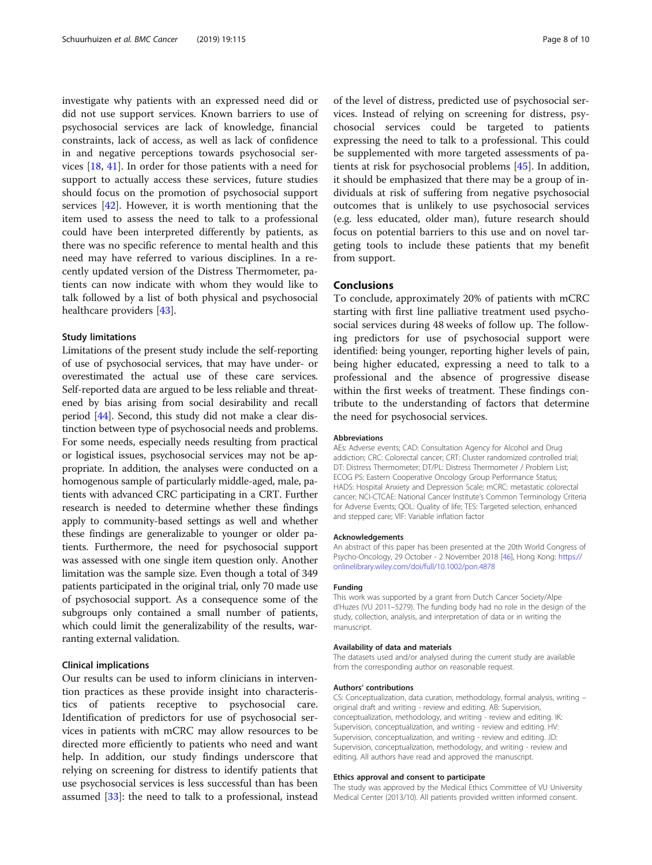investigate why patients with an expressed need did or did not use support services. Known barriers to use of psychosocial services are lack of knowledge, financial constraints, lack of access, as well as lack of confidence in and negative perceptions towards psychosocial services [[18](#page-8-0), [41](#page-9-0)]. In order for those patients with a need for support to actually access these services, future studies should focus on the promotion of psychosocial support services [[42\]](#page-9-0). However, it is worth mentioning that the item used to assess the need to talk to a professional could have been interpreted differently by patients, as there was no specific reference to mental health and this need may have referred to various disciplines. In a recently updated version of the Distress Thermometer, patients can now indicate with whom they would like to talk followed by a list of both physical and psychosocial healthcare providers [[43\]](#page-9-0).

#### Study limitations

Limitations of the present study include the self-reporting of use of psychosocial services, that may have under- or overestimated the actual use of these care services. Self-reported data are argued to be less reliable and threatened by bias arising from social desirability and recall period [\[44\]](#page-9-0). Second, this study did not make a clear distinction between type of psychosocial needs and problems. For some needs, especially needs resulting from practical or logistical issues, psychosocial services may not be appropriate. In addition, the analyses were conducted on a homogenous sample of particularly middle-aged, male, patients with advanced CRC participating in a CRT. Further research is needed to determine whether these findings apply to community-based settings as well and whether these findings are generalizable to younger or older patients. Furthermore, the need for psychosocial support was assessed with one single item question only. Another limitation was the sample size. Even though a total of 349 patients participated in the original trial, only 70 made use of psychosocial support. As a consequence some of the subgroups only contained a small number of patients, which could limit the generalizability of the results, warranting external validation.

#### Clinical implications

Our results can be used to inform clinicians in intervention practices as these provide insight into characteristics of patients receptive to psychosocial care. Identification of predictors for use of psychosocial services in patients with mCRC may allow resources to be directed more efficiently to patients who need and want help. In addition, our study findings underscore that relying on screening for distress to identify patients that use psychosocial services is less successful than has been assumed [[33](#page-9-0)]: the need to talk to a professional, instead

of the level of distress, predicted use of psychosocial services. Instead of relying on screening for distress, psychosocial services could be targeted to patients expressing the need to talk to a professional. This could be supplemented with more targeted assessments of patients at risk for psychosocial problems [[45](#page-9-0)]. In addition, it should be emphasized that there may be a group of individuals at risk of suffering from negative psychosocial outcomes that is unlikely to use psychosocial services (e.g. less educated, older man), future research should focus on potential barriers to this use and on novel targeting tools to include these patients that my benefit from support.

## **Conclusions**

To conclude, approximately 20% of patients with mCRC starting with first line palliative treatment used psychosocial services during 48 weeks of follow up. The following predictors for use of psychosocial support were identified: being younger, reporting higher levels of pain, being higher educated, expressing a need to talk to a professional and the absence of progressive disease within the first weeks of treatment. These findings contribute to the understanding of factors that determine the need for psychosocial services.

#### Abbreviations

AEs: Adverse events; CAD: Consultation Agency for Alcohol and Drug addiction; CRC: Colorectal cancer; CRT: Cluster randomized controlled trial; DT: Distress Thermometer; DT/PL: Distress Thermometer / Problem List; ECOG PS: Eastern Cooperative Oncology Group Performance Status; HADS: Hospital Anxiety and Depression Scale; mCRC: metastatic colorectal cancer; NCI-CTCAE: National Cancer Institute's Common Terminology Criteria for Adverse Events; QOL: Quality of life; TES: Targeted selection, enhanced and stepped care; VIF: Variable inflation factor

#### Acknowledgements

An abstract of this paper has been presented at the 20th World Congress of Psycho-Oncology, 29 October - 2 November 2018 [\[46\]](#page-9-0), Hong Kong: [https://](https://onlinelibrary.wiley.com/doi/full/10.1002/pon.4878) [onlinelibrary.wiley.com/doi/full/10.1002/pon.4878](https://onlinelibrary.wiley.com/doi/full/10.1002/pon.4878)

#### Funding

This work was supported by a grant from Dutch Cancer Society/Alpe d'Huzes (VU 2011–5279). The funding body had no role in the design of the study, collection, analysis, and interpretation of data or in writing the manuscript.

#### Availability of data and materials

The datasets used and/or analysed during the current study are available from the corresponding author on reasonable request.

#### Authors' contributions

CS: Conceptualization, data curation, methodology, formal analysis, writing – original draft and writing - review and editing. AB: Supervision, conceptualization, methodology, and writing - review and editing. IK: Supervision, conceptualization, and writing - review and editing. HV: Supervision, conceptualization, and writing - review and editing. JD: Supervision, conceptualization, methodology, and writing - review and editing. All authors have read and approved the manuscript.

#### Ethics approval and consent to participate

The study was approved by the Medical Ethics Committee of VU University Medical Center (2013/10). All patients provided written informed consent.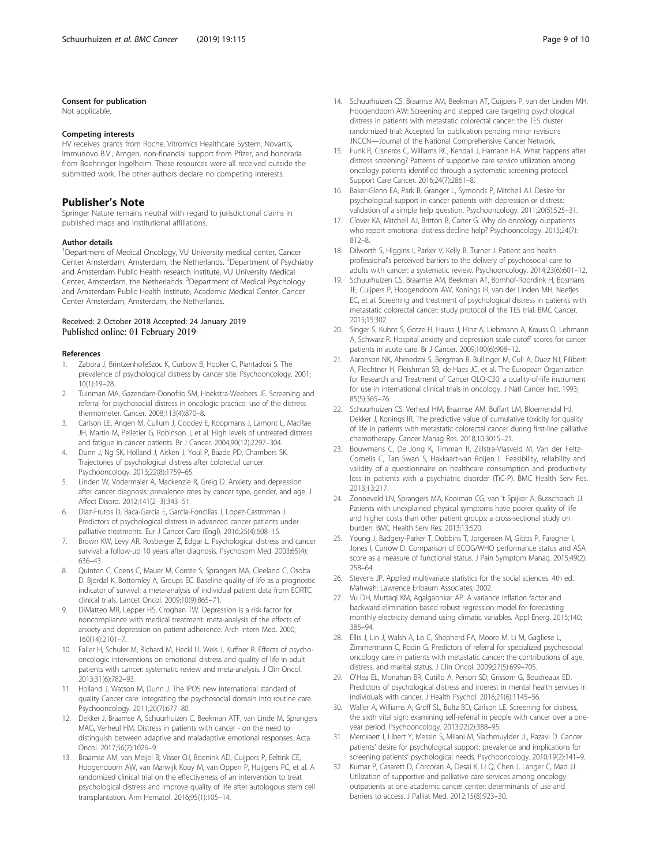#### <span id="page-8-0"></span>Consent for publication

Not applicable.

#### Competing interests

HV receives grants from Roche, Vitromics Healthcare System, Novartis, Immunovo B.V., Amgen, non-financial support from Pfizer, and honoraria from Boehringer Ingelheim. These resources were all received outside the submitted work. The other authors declare no competing interests.

## Publisher's Note

Springer Nature remains neutral with regard to jurisdictional claims in published maps and institutional affiliations.

#### Author details

<sup>1</sup>Department of Medical Oncology, VU University medical center, Cancer Center Amsterdam, Amsterdam, the Netherlands. <sup>2</sup>Department of Psychiatry and Amsterdam Public Health research institute, VU University Medical Center, Amsterdam, the Netherlands. <sup>3</sup>Department of Medical Psychology and Amsterdam Public Health Institute, Academic Medical Center, Cancer Center Amsterdam, Amsterdam, the Netherlands.

#### Received: 2 October 2018 Accepted: 24 January 2019 Published online: 01 February 2019

#### References

- 1. Zabora J, BrintzenhofeSzoc K, Curbow B, Hooker C, Piantadosi S. The prevalence of psychological distress by cancer site. Psychooncology. 2001; 10(1):19–28.
- 2. Tuinman MA, Gazendam-Donofrio SM, Hoekstra-Weebers JE. Screening and referral for psychosocial distress in oncologic practice: use of the distress thermometer. Cancer. 2008;113(4):870–8.
- 3. Carlson LE, Angen M, Cullum J, Goodey E, Koopmans J, Lamont L, MacRae JH, Martin M, Pelletier G, Robinson J, et al. High levels of untreated distress and fatigue in cancer patients. Br J Cancer. 2004;90(12):2297–304.
- 4. Dunn J, Ng SK, Holland J, Aitken J, Youl P, Baade PD, Chambers SK. Trajectories of psychological distress after colorectal cancer. Psychooncology. 2013;22(8):1759–65.
- 5. Linden W, Vodermaier A, Mackenzie R, Greig D. Anxiety and depression after cancer diagnosis: prevalence rates by cancer type, gender, and age. J Affect Disord. 2012;141(2–3):343–51.
- 6. Diaz-Frutos D, Baca-Garcia E, Garcia-Foncillas J, Lopez-Castroman J. Predictors of psychological distress in advanced cancer patients under palliative treatments. Eur J Cancer Care (Engl). 2016;25(4):608–15.
- 7. Brown KW, Levy AR, Rosberger Z, Edgar L. Psychological distress and cancer survival: a follow-up 10 years after diagnosis. Psychosom Med. 2003;65(4): 636–43.
- Quinten C, Coens C, Mauer M, Comte S, Sprangers MA, Cleeland C, Osoba D, Bjordal K, Bottomley A, Groups EC. Baseline quality of life as a prognostic indicator of survival: a meta-analysis of individual patient data from EORTC clinical trials. Lancet Oncol. 2009;10(9):865–71.
- 9. DiMatteo MR, Lepper HS, Croghan TW. Depression is a risk factor for noncompliance with medical treatment: meta-analysis of the effects of anxiety and depression on patient adherence. Arch Intern Med. 2000; 160(14):2101–7.
- 10. Faller H, Schuler M, Richard M, Heckl U, Weis J, Kuffner R. Effects of psychooncologic interventions on emotional distress and quality of life in adult patients with cancer: systematic review and meta-analysis. J Clin Oncol. 2013;31(6):782–93.
- 11. Holland J, Watson M, Dunn J. The IPOS new international standard of quality Cancer care: integrating the psychosocial domain into routine care. Psychooncology. 2011;20(7):677–80.
- 12. Dekker J, Braamse A, Schuurhuizen C, Beekman ATF, van Linde M, Sprangers MAG, Verheul HM. Distress in patients with cancer - on the need to distinguish between adaptive and maladaptive emotional responses. Acta Oncol. 2017;56(7):1026–9.
- 13. Braamse AM, van Meijel B, Visser OJ, Boenink AD, Cuijpers P, Eeltink CE, Hoogendoorn AW, van Marwijk Kooy M, van Oppen P, Huijgens PC, et al. A randomized clinical trial on the effectiveness of an intervention to treat psychological distress and improve quality of life after autologous stem cell transplantation. Ann Hematol. 2016;95(1):105–14.
- 14. Schuurhuizen CS, Braamse AM, Beekman AT, Cuijpers P, van der Linden MH, Hoogendoorn AW: Screening and stepped care targeting psychological distress in patients with metastatic colorectal cancer: the TES cluster randomized trial: Accepted for publication pending minor revisions JNCCN—Journal of the National Comprehensive Cancer Network.
- 15. Funk R, Cisneros C, Williams RC, Kendall J, Hamann HA. What happens after distress screening? Patterns of supportive care service utilization among oncology patients identified through a systematic screening protocol. Support Care Cancer. 2016;24(7):2861–8.
- 16. Baker-Glenn EA, Park B, Granger L, Symonds P, Mitchell AJ. Desire for psychological support in cancer patients with depression or distress: validation of a simple help question. Psychooncology. 2011;20(5):525–31.
- 17. Clover KA, Mitchell AJ, Britton B, Carter G. Why do oncology outpatients who report emotional distress decline help? Psychooncology. 2015;24(7): 812–8.
- 18. Dilworth S, Higgins I, Parker V, Kelly B, Turner J. Patient and health professional's perceived barriers to the delivery of psychosocial care to adults with cancer: a systematic review. Psychooncology. 2014;23(6):601–12.
- 19. Schuurhuizen CS, Braamse AM, Beekman AT, Bomhof-Roordink H, Bosmans JE, Cuijpers P, Hoogendoorn AW, Konings IR, van der Linden MH, Neefjes EC, et al. Screening and treatment of psychological distress in patients with metastatic colorectal cancer: study protocol of the TES trial. BMC Cancer. 2015;15:302.
- 20. Singer S, Kuhnt S, Gotze H, Hauss J, Hinz A, Liebmann A, Krauss O, Lehmann A, Schwarz R. Hospital anxiety and depression scale cutoff scores for cancer patients in acute care. Br J Cancer. 2009;100(6):908–12.
- 21. Aaronson NK, Ahmedzai S, Bergman B, Bullinger M, Cull A, Duez NJ, Filiberti A, Flechtner H, Fleishman SB, de Haes JC, et al. The European Organization for Research and Treatment of Cancer QLQ-C30: a quality-of-life instrument for use in international clinical trials in oncology. J Natl Cancer Inst. 1993; 85(5):365–76.
- 22. Schuurhuizen CS, Verheul HM, Braamse AM, Buffart LM, Bloemendal HJ, Dekker J, Konings IR. The predictive value of cumulative toxicity for quality of life in patients with metastatic colorectal cancer during first-line palliative chemotherapy. Cancer Manag Res. 2018;10:3015–21.
- 23. Bouwmans C, De Jong K, Timman R, Zijlstra-Vlasveld M, Van der Feltz-Cornelis C, Tan Swan S, Hakkaart-van Roijen L. Feasibility, reliability and validity of a questionnaire on healthcare consumption and productivity loss in patients with a psychiatric disorder (TiC-P). BMC Health Serv Res. 2013;13:217.
- 24. Zonneveld LN, Sprangers MA, Kooiman CG, van 't Spijker A, Busschbach JJ. Patients with unexplained physical symptoms have poorer quality of life and higher costs than other patient groups: a cross-sectional study on burden. BMC Health Serv Res. 2013;13:520.
- 25. Young J, Badgery-Parker T, Dobbins T, Jorgensen M, Gibbs P, Faragher I, Jones I, Currow D. Comparison of ECOG/WHO performance status and ASA score as a measure of functional status. J Pain Symptom Manag. 2015;49(2): 258–64.
- 26. Stevens JP. Applied multivariate statistics for the social sciences. 4th ed. Mahwah: Lawrence Erlbaum Associates; 2002.
- 27. Vu DH, Muttaqi KM, Agalgaonkar AP. A variance inflation factor and backward elimination based robust regression model for forecasting monthly electricity demand using climatic variables. Appl Energ. 2015;140: 385–94.
- 28. Ellis J, Lin J, Walsh A, Lo C, Shepherd FA, Moore M, Li M, Gagliese L, Zimmermann C, Rodin G. Predictors of referral for specialized psychosocial oncology care in patients with metastatic cancer: the contributions of age, distress, and marital status. J Clin Oncol. 2009;27(5):699–705.
- 29. O'Hea EL, Monahan BR, Cutillo A, Person SD, Grissom G, Boudreaux ED. Predictors of psychological distress and interest in mental health services in individuals with cancer. J Health Psychol. 2016;21(6):1145–56.
- 30. Waller A, Williams A, Groff SL, Bultz BD, Carlson LE. Screening for distress, the sixth vital sign: examining self-referral in people with cancer over a oneyear period. Psychooncology. 2013;22(2):388–95.
- 31. Merckaert I, Libert Y, Messin S, Milani M, Slachmuylder JL, Razavi D. Cancer patients' desire for psychological support: prevalence and implications for screening patients' psychological needs. Psychooncology. 2010;19(2):141–9.
- 32. Kumar P, Casarett D, Corcoran A, Desai K, Li Q, Chen J, Langer C, Mao JJ. Utilization of supportive and palliative care services among oncology outpatients at one academic cancer center: determinants of use and barriers to access. J Palliat Med. 2012;15(8):923–30.